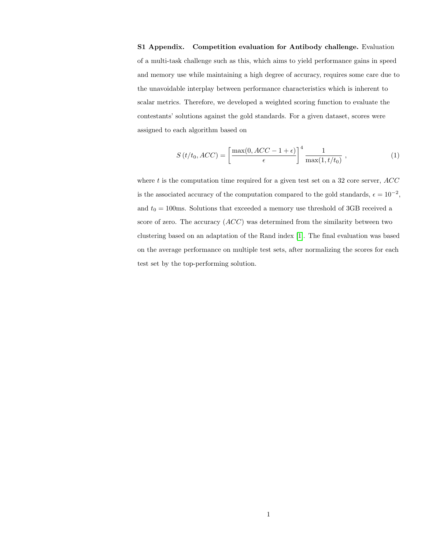S1 Appendix. Competition evaluation for Antibody challenge. Evaluation of a multi-task challenge such as this, which aims to yield performance gains in speed and memory use while maintaining a high degree of accuracy, requires some care due to the unavoidable interplay between performance characteristics which is inherent to scalar metrics. Therefore, we developed a weighted scoring function to evaluate the contestants' solutions against the gold standards. For a given dataset, scores were assigned to each algorithm based on

$$
S(t/t_0, ACC) = \left[\frac{\max(0, ACC - 1 + \epsilon)}{\epsilon}\right]^4 \frac{1}{\max(1, t/t_0)}, \qquad (1)
$$

where t is the computation time required for a given test set on a 32 core server,  $ACC$ is the associated accuracy of the computation compared to the gold standards,  $\epsilon = 10^{-2}$ , and  $t_0 = 100$ ms. Solutions that exceeded a memory use threshold of 3GB received a score of zero. The accuracy  $(ACC)$  was determined from the similarity between two clustering based on an adaptation of the Rand index [\[1\]](#page-1-0). The final evaluation was based on the average performance on multiple test sets, after normalizing the scores for each test set by the top-performing solution.